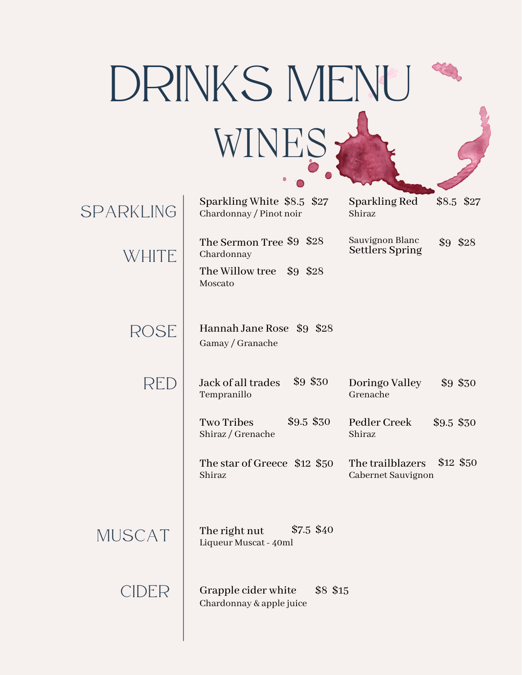| DRINKS MENU |                                                                               |                                           |            |  |  |
|-------------|-------------------------------------------------------------------------------|-------------------------------------------|------------|--|--|
| WINES       |                                                                               |                                           |            |  |  |
| SPARKLING   | Sparkling White \$8.5 \$27<br>Chardonnay / Pinot noir                         | <b>Sparkling Red</b><br>Shiraz            | \$8.5 \$27 |  |  |
| WHITE       | The Sermon Tree \$9 \$28<br>Chardonnay<br>The Willow tree \$9 \$28<br>Moscato | Sauvignon Blanc<br><b>Settlers Spring</b> | \$9 \$28   |  |  |
| ROSE        | Hannah Jane Rose \$9 \$28<br>Gamay / Granache                                 |                                           |            |  |  |
| RED         | \$9 \$30<br>Jack of all trades<br>Tempranillo                                 | Doringo Valley<br>Grenache                | \$9 \$30   |  |  |
|             | \$9.5 \$30<br><b>Two Tribes</b><br>Shiraz / Grenache                          | Pedler Creek<br>Shiraz                    | \$9.5 \$30 |  |  |
|             | The star of Greece \$12 \$50<br>Shiraz                                        | The trailblazers<br>Cabernet Sauvignon    | \$12 \$50  |  |  |
| MUSCAT      | $$7.5$ \$40<br>The right nut<br>Liqueur Muscat - 40ml                         |                                           |            |  |  |
| CIDER       | Grapple cider white<br>\$8 \$15<br>Chardonnay & apple juice                   |                                           |            |  |  |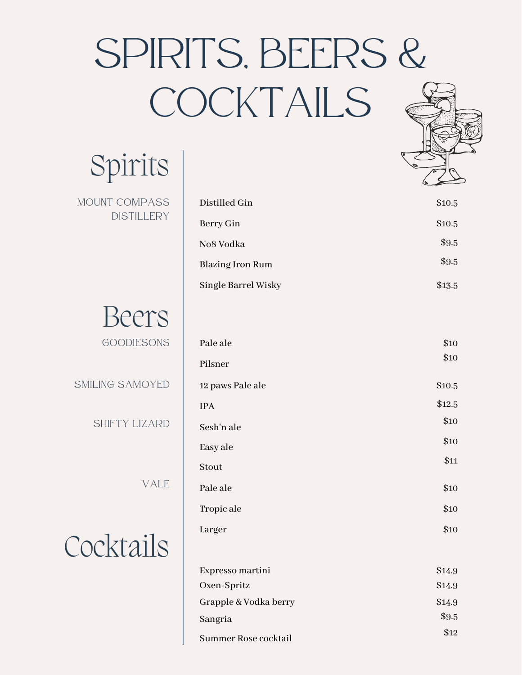## SPIRITS, BEERS & COCKTAILS

Spirits

MOUNT COMPASS DISTILLERY



SMILING SAMOYED

SHIFTY LIZARD

VALE

Cocktails

| Distilled Gin           | \$10.5 |
|-------------------------|--------|
| Berry Gin               | \$10.5 |
| No8 Vodka               | \$9.5  |
| <b>Blazing Iron Rum</b> | \$9.5  |
| Single Barrel Wisky     | \$13.5 |

| Pale ale         | \$10   |
|------------------|--------|
| Pilsner          | \$10   |
| 12 paws Pale ale | \$10.5 |
| <b>IPA</b>       | \$12.5 |
| Sesh'n ale       | \$10   |
| Easy ale         | \$10   |
| Stout            | \$11   |
| Pale ale         | \$10   |
| Tropic ale       | \$10   |
| Larger           | \$10   |
|                  |        |

| Expresso martini      | \$14.9 |
|-----------------------|--------|
| Oxen-Spritz           | \$14.9 |
| Grapple & Vodka berry | \$14.9 |
| Sangria               | \$9.5  |
| Summer Rose cocktail  | \$12   |